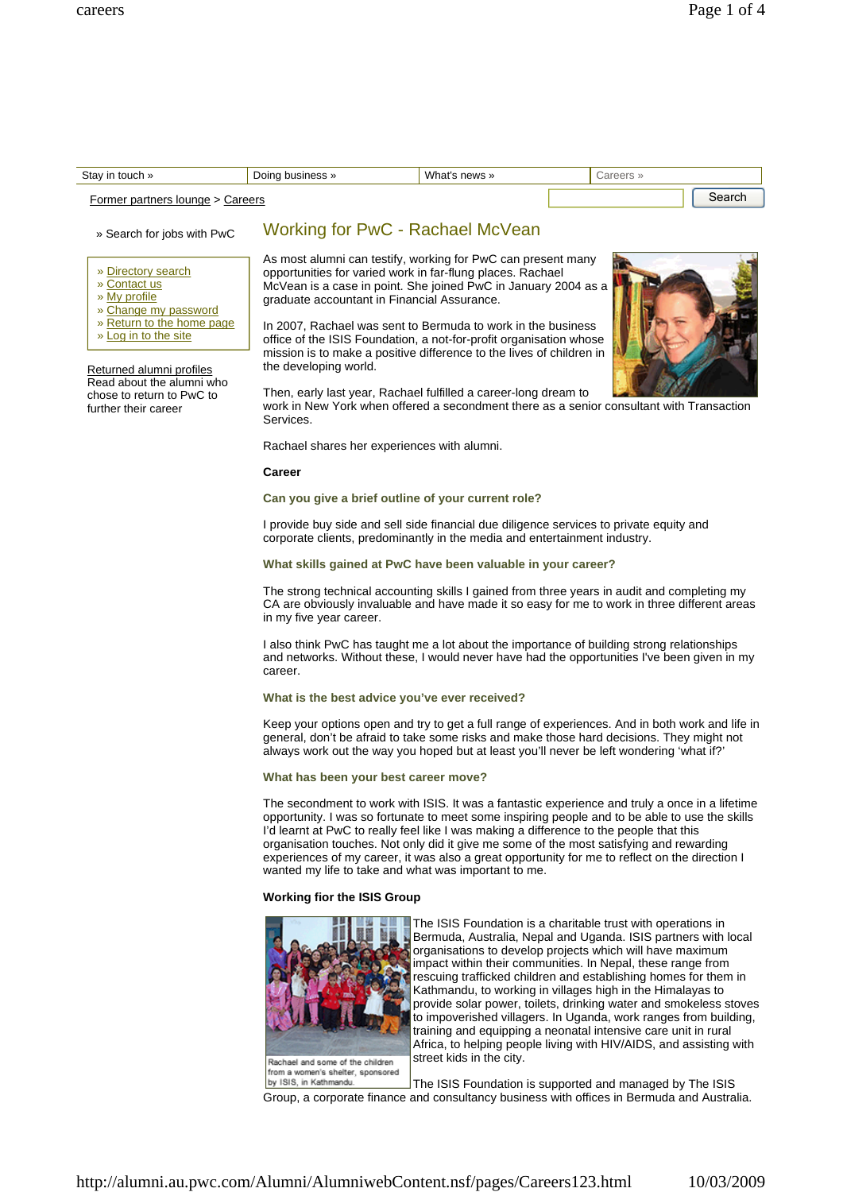| Stay in touch »                            | Doing business » | What's news » | Careers » |  |
|--------------------------------------------|------------------|---------------|-----------|--|
| <b>Former partners lounge &gt; Careers</b> |                  |               | Search    |  |

## » Search for jobs with PwC

» Directory search

- » Contact us
- » My profile
- » Change my password
- » Return to the home page
- » Log in to the site

Returned alumni profiles Read about the alumni who chose to return to PwC to further their career

# Working for PwC - Rachael McVean

As most alumni can testify, working for PwC can present many opportunities for varied work in far-flung places. Rachael McVean is a case in point. She joined PwC in January 2004 as a graduate accountant in Financial Assurance.

In 2007, Rachael was sent to Bermuda to work in the business office of the ISIS Foundation, a not-for-profit organisation whose mission is to make a positive difference to the lives of children in the developing world.



Then, early last year, Rachael fulfilled a career-long dream to work in New York when offered a secondment there as a senior consultant with Transaction Services.

Rachael shares her experiences with alumni.

## **Career**

#### **Can you give a brief outline of your current role?**

I provide buy side and sell side financial due diligence services to private equity and corporate clients, predominantly in the media and entertainment industry.

# **What skills gained at PwC have been valuable in your career?**

The strong technical accounting skills I gained from three years in audit and completing my CA are obviously invaluable and have made it so easy for me to work in three different areas in my five year career.

I also think PwC has taught me a lot about the importance of building strong relationships and networks. Without these, I would never have had the opportunities I've been given in my career.

## **What is the best advice you've ever received?**

Keep your options open and try to get a full range of experiences. And in both work and life in general, don't be afraid to take some risks and make those hard decisions. They might not always work out the way you hoped but at least you'll never be left wondering 'what if?'

#### **What has been your best career move?**

The secondment to work with ISIS. It was a fantastic experience and truly a once in a lifetime opportunity. I was so fortunate to meet some inspiring people and to be able to use the skills I'd learnt at PwC to really feel like I was making a difference to the people that this organisation touches. Not only did it give me some of the most satisfying and rewarding experiences of my career, it was also a great opportunity for me to reflect on the direction I wanted my life to take and what was important to me.

## **Working fior the ISIS Group**



from a women's shelter, sponsored by ISIS, in Kathmandu.

The ISIS Foundation is a charitable trust with operations in Bermuda, Australia, Nepal and Uganda. ISIS partners with local organisations to develop projects which will have maximum impact within their communities. In Nepal, these range from rescuing trafficked children and establishing homes for them in Kathmandu, to working in villages high in the Himalayas to provide solar power, toilets, drinking water and smokeless stoves to impoverished villagers. In Uganda, work ranges from building, training and equipping a neonatal intensive care unit in rural Africa, to helping people living with HIV/AIDS, and assisting with street kids in the city.

The ISIS Foundation is supported and managed by The ISIS Group, a corporate finance and consultancy business with offices in Bermuda and Australia.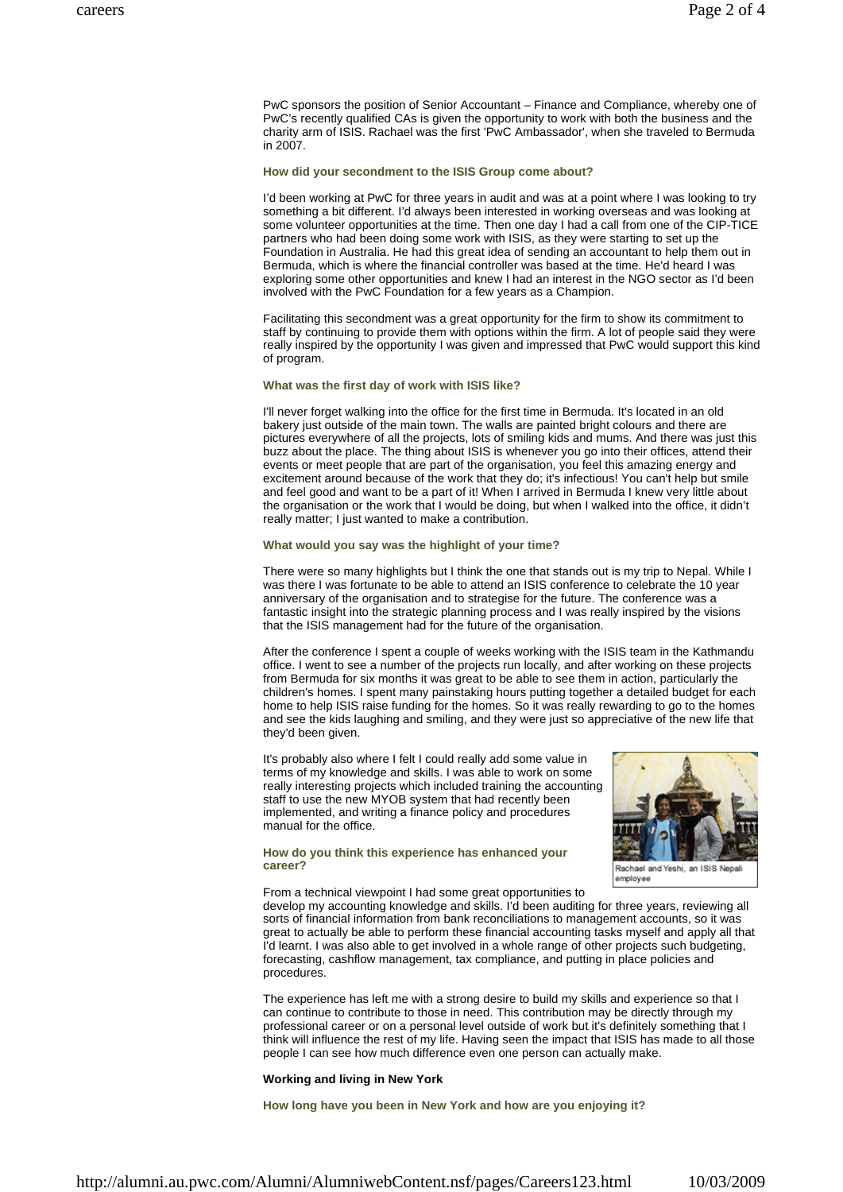PwC sponsors the position of Senior Accountant – Finance and Compliance, whereby one of PwC's recently qualified CAs is given the opportunity to work with both the business and the charity arm of ISIS. Rachael was the first 'PwC Ambassador', when she traveled to Bermuda in 2007.

#### **How did your secondment to the ISIS Group come about?**

I'd been working at PwC for three years in audit and was at a point where I was looking to try something a bit different. I'd always been interested in working overseas and was looking at some volunteer opportunities at the time. Then one day I had a call from one of the CIP-TICE partners who had been doing some work with ISIS, as they were starting to set up the Foundation in Australia. He had this great idea of sending an accountant to help them out in Bermuda, which is where the financial controller was based at the time. He'd heard I was exploring some other opportunities and knew I had an interest in the NGO sector as I'd been involved with the PwC Foundation for a few years as a Champion.

Facilitating this secondment was a great opportunity for the firm to show its commitment to staff by continuing to provide them with options within the firm. A lot of people said they were really inspired by the opportunity I was given and impressed that PwC would support this kind of program.

# **What was the first day of work with ISIS like?**

I'll never forget walking into the office for the first time in Bermuda. It's located in an old bakery just outside of the main town. The walls are painted bright colours and there are pictures everywhere of all the projects, lots of smiling kids and mums. And there was just this buzz about the place. The thing about ISIS is whenever you go into their offices, attend their events or meet people that are part of the organisation, you feel this amazing energy and excitement around because of the work that they do; it's infectious! You can't help but smile and feel good and want to be a part of it! When I arrived in Bermuda I knew very little about the organisation or the work that I would be doing, but when I walked into the office, it didn't really matter; I just wanted to make a contribution.

## **What would you say was the highlight of your time?**

There were so many highlights but I think the one that stands out is my trip to Nepal. While I was there I was fortunate to be able to attend an ISIS conference to celebrate the 10 year anniversary of the organisation and to strategise for the future. The conference was a fantastic insight into the strategic planning process and I was really inspired by the visions that the ISIS management had for the future of the organisation.

After the conference I spent a couple of weeks working with the ISIS team in the Kathmandu office. I went to see a number of the projects run locally, and after working on these projects from Bermuda for six months it was great to be able to see them in action, particularly the children's homes. I spent many painstaking hours putting together a detailed budget for each home to help ISIS raise funding for the homes. So it was really rewarding to go to the homes and see the kids laughing and smiling, and they were just so appreciative of the new life that they'd been given.

It's probably also where I felt I could really add some value in terms of my knowledge and skills. I was able to work on some really interesting projects which included training the accounting staff to use the new MYOB system that had recently been implemented, and writing a finance policy and procedures manual for the office.



**How do you think this experience has enhanced your career?**

Rachael and Yeshi, an ISIS Nepal emplovee

From a technical viewpoint I had some great opportunities to

develop my accounting knowledge and skills. I'd been auditing for three years, reviewing all sorts of financial information from bank reconciliations to management accounts, so it was great to actually be able to perform these financial accounting tasks myself and apply all that I'd learnt. I was also able to get involved in a whole range of other projects such budgeting, forecasting, cashflow management, tax compliance, and putting in place policies and procedures.

The experience has left me with a strong desire to build my skills and experience so that I can continue to contribute to those in need. This contribution may be directly through my professional career or on a personal level outside of work but it's definitely something that I think will influence the rest of my life. Having seen the impact that ISIS has made to all those people I can see how much difference even one person can actually make.

## **Working and living in New York**

**How long have you been in New York and how are you enjoying it?**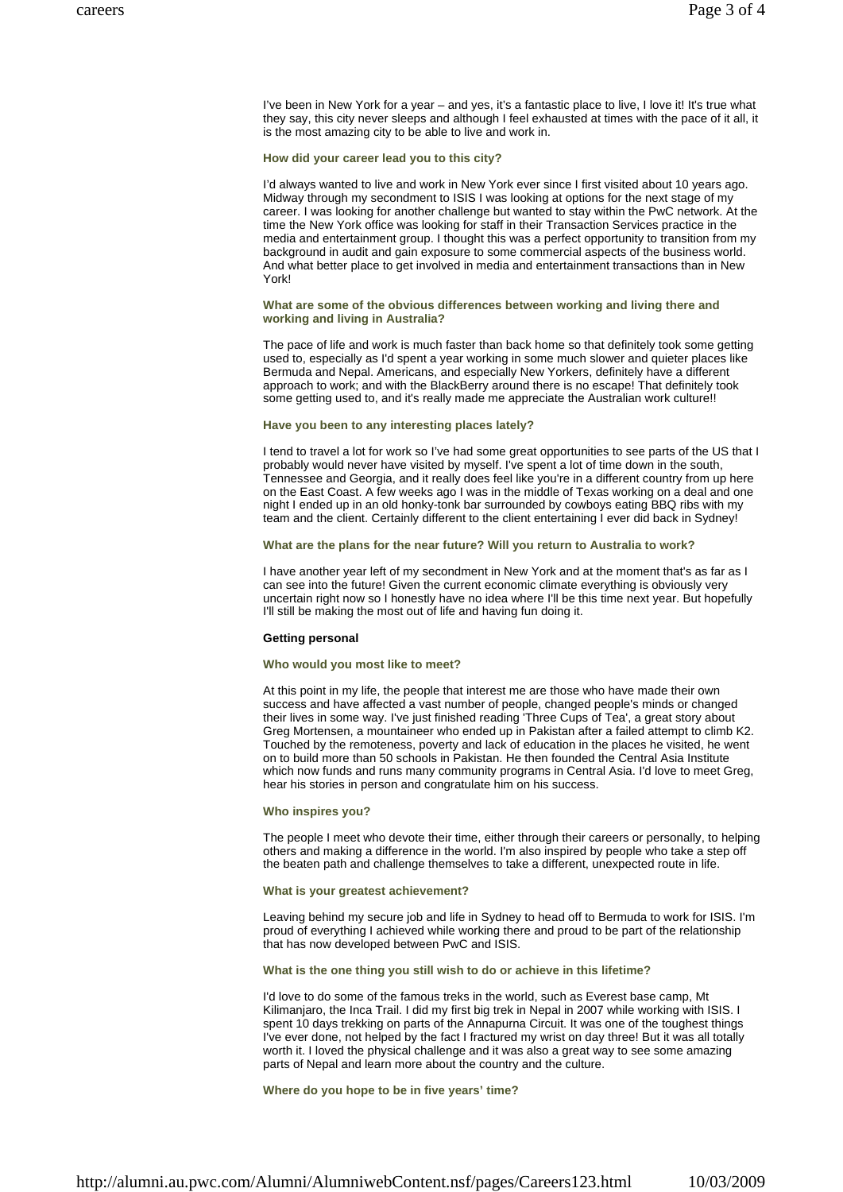I've been in New York for a year – and yes, it's a fantastic place to live, I love it! It's true what they say, this city never sleeps and although I feel exhausted at times with the pace of it all, it is the most amazing city to be able to live and work in.

## **How did your career lead you to this city?**

I'd always wanted to live and work in New York ever since I first visited about 10 years ago. Midway through my secondment to ISIS I was looking at options for the next stage of my career. I was looking for another challenge but wanted to stay within the PwC network. At the time the New York office was looking for staff in their Transaction Services practice in the media and entertainment group. I thought this was a perfect opportunity to transition from my background in audit and gain exposure to some commercial aspects of the business world. And what better place to get involved in media and entertainment transactions than in New York!

## **What are some of the obvious differences between working and living there and working and living in Australia?**

The pace of life and work is much faster than back home so that definitely took some getting used to, especially as I'd spent a year working in some much slower and quieter places like Bermuda and Nepal. Americans, and especially New Yorkers, definitely have a different approach to work; and with the BlackBerry around there is no escape! That definitely took some getting used to, and it's really made me appreciate the Australian work culture!!

# **Have you been to any interesting places lately?**

I tend to travel a lot for work so I've had some great opportunities to see parts of the US that I probably would never have visited by myself. I've spent a lot of time down in the south, Tennessee and Georgia, and it really does feel like you're in a different country from up here on the East Coast. A few weeks ago I was in the middle of Texas working on a deal and one night I ended up in an old honky-tonk bar surrounded by cowboys eating BBQ ribs with my team and the client. Certainly different to the client entertaining I ever did back in Sydney!

## **What are the plans for the near future? Will you return to Australia to work?**

I have another year left of my secondment in New York and at the moment that's as far as I can see into the future! Given the current economic climate everything is obviously very uncertain right now so I honestly have no idea where I'll be this time next year. But hopefully I'll still be making the most out of life and having fun doing it.

#### **Getting personal**

#### **Who would you most like to meet?**

At this point in my life, the people that interest me are those who have made their own success and have affected a vast number of people, changed people's minds or changed their lives in some way. I've just finished reading 'Three Cups of Tea', a great story about Greg Mortensen, a mountaineer who ended up in Pakistan after a failed attempt to climb K2. Touched by the remoteness, poverty and lack of education in the places he visited, he went on to build more than 50 schools in Pakistan. He then founded the Central Asia Institute which now funds and runs many community programs in Central Asia. I'd love to meet Greg, hear his stories in person and congratulate him on his success.

# **Who inspires you?**

The people I meet who devote their time, either through their careers or personally, to helping others and making a difference in the world. I'm also inspired by people who take a step off the beaten path and challenge themselves to take a different, unexpected route in life.

## **What is your greatest achievement?**

Leaving behind my secure job and life in Sydney to head off to Bermuda to work for ISIS. I'm proud of everything I achieved while working there and proud to be part of the relationship that has now developed between PwC and ISIS.

# **What is the one thing you still wish to do or achieve in this lifetime?**

I'd love to do some of the famous treks in the world, such as Everest base camp, Mt Kilimanjaro, the Inca Trail. I did my first big trek in Nepal in 2007 while working with ISIS. I spent 10 days trekking on parts of the Annapurna Circuit. It was one of the toughest things I've ever done, not helped by the fact I fractured my wrist on day three! But it was all totally worth it. I loved the physical challenge and it was also a great way to see some amazing parts of Nepal and learn more about the country and the culture.

**Where do you hope to be in five years' time?**